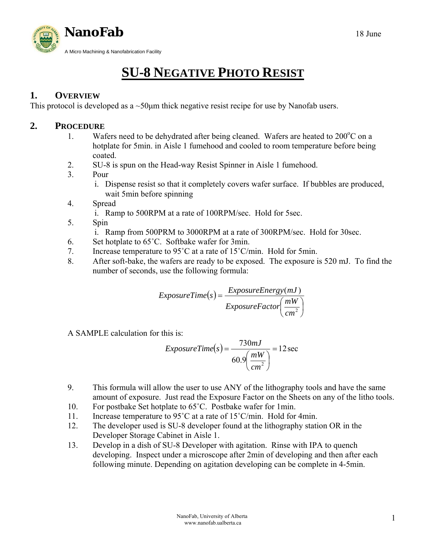

# **SU-8 NEGATIVE PHOTO RESIST**

## **1. OVERVIEW**

This protocol is developed as a ~50μm thick negative resist recipe for use by Nanofab users.

### **2. PROCEDURE**

- 1. Wafers need to be dehydrated after being cleaned. Wafers are heated to  $200^{\circ}$ C on a hotplate for 5min. in Aisle 1 fumehood and cooled to room temperature before being coated.
- 2. SU-8 is spun on the Head-way Resist Spinner in Aisle 1 fumehood.
- 3. Pour
	- i. Dispense resist so that it completely covers wafer surface. If bubbles are produced, wait 5min before spinning
- 4. Spread
	- i. Ramp to 500RPM at a rate of 100RPM/sec. Hold for 5sec.
- 5. Spin
	- i. Ramp from 500PRM to 3000RPM at a rate of 300RPM/sec. Hold for 30sec.
- 6. Set hotplate to 65˚C. Softbake wafer for 3min.
- 7. Increase temperature to 95˚C at a rate of 15˚C/min. Hold for 5min.
- 8. After soft-bake, the wafers are ready to be exposed. The exposure is 520 mJ. To find the number of seconds, use the following formula:

$$
ExposureTime(s) = \frac{ExposureEnergy(mJ)}{ExposureFactor\left(\frac{mW}{cm^2}\right)}
$$

A SAMPLE calculation for this is:

$$
ExposureTime(s) = \frac{730mJ}{60.9 \left(\frac{mW}{cm^2}\right)} = 12 \sec
$$

- 9. This formula will allow the user to use ANY of the lithography tools and have the same amount of exposure. Just read the Exposure Factor on the Sheets on any of the litho tools.
- 10. For postbake Set hotplate to 65˚C. Postbake wafer for 1min.
- 11. Increase temperature to 95˚C at a rate of 15˚C/min. Hold for 4min.
- 12. The developer used is SU-8 developer found at the lithography station OR in the Developer Storage Cabinet in Aisle 1.
- 13. Develop in a dish of SU-8 Developer with agitation. Rinse with IPA to quench developing. Inspect under a microscope after 2min of developing and then after each following minute. Depending on agitation developing can be complete in 4-5min.